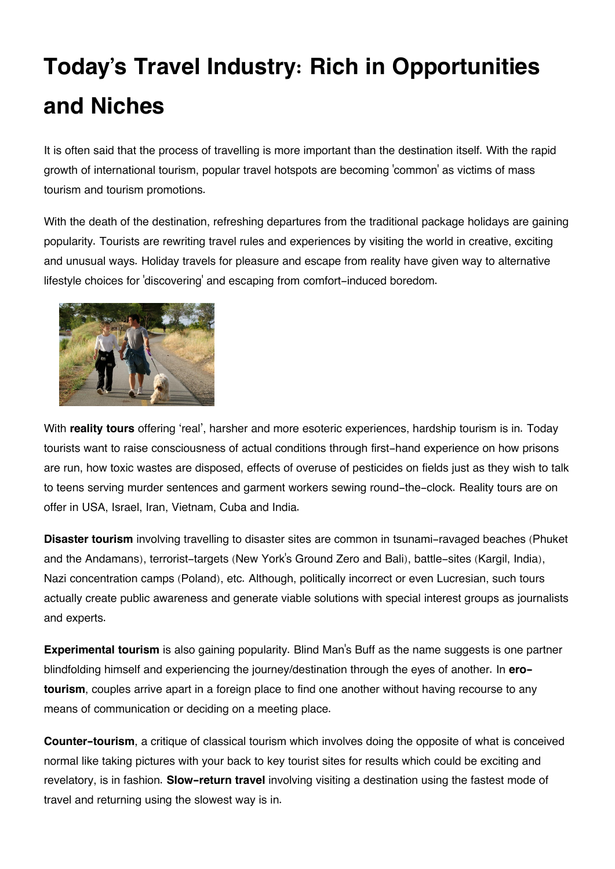## **Today's Travel Industry: Rich in Opportunities and Niches**

It is often said that the process of travelling is more important than the destination itself. With the rapid growth of international tourism, popular travel hotspots are becoming 'common' as victims of mass tourism and tourism promotions.

With the death of the destination, refreshing departures from the traditional package holidays are gaining popularity. Tourists are rewriting travel rules and experiences by visiting the world in creative, exciting and unusual ways. Holiday travels for pleasure and escape from reality have given way to alternative lifestyle choices for 'discovering' and escaping from comfort-induced boredom.



With **reality tours** offering 'real', harsher and more esoteric experiences, hardship tourism is in. Today tourists want to raise consciousness of actual conditions through first-hand experience on how prisons are run, how toxic wastes are disposed, effects of overuse of pesticides on fields just as they wish to talk to teens serving murder sentences and garment workers sewing round-the-clock. Reality tours are on offer in USA, Israel, Iran, Vietnam, Cuba and India.

**Disaster tourism** involving travelling to disaster sites are common in tsunami-ravaged beaches (Phuket and the Andamans), terrorist-targets (New York's Ground Zero and Bali), battle-sites (Kargil, India), Nazi concentration camps (Poland), etc. Although, politically incorrect or even Lucresian, such tours actually create public awareness and generate viable solutions with special interest groups as journalists and experts.

**Experimental tourism** is also gaining popularity. Blind Man's Buff as the name suggests is one partner blindfolding himself and experiencing the journey/destination through the eyes of another. In **erotourism**, couples arrive apart in a foreign place to find one another without having recourse to any means of communication or deciding on a meeting place.

**Counter-tourism**, a critique of classical tourism which involves doing the opposite of what is conceived normal like taking pictures with your back to key tourist sites for results which could be exciting and revelatory, is in fashion. **Slow-return travel** involving visiting a destination using the fastest mode of travel and returning using the slowest way is in.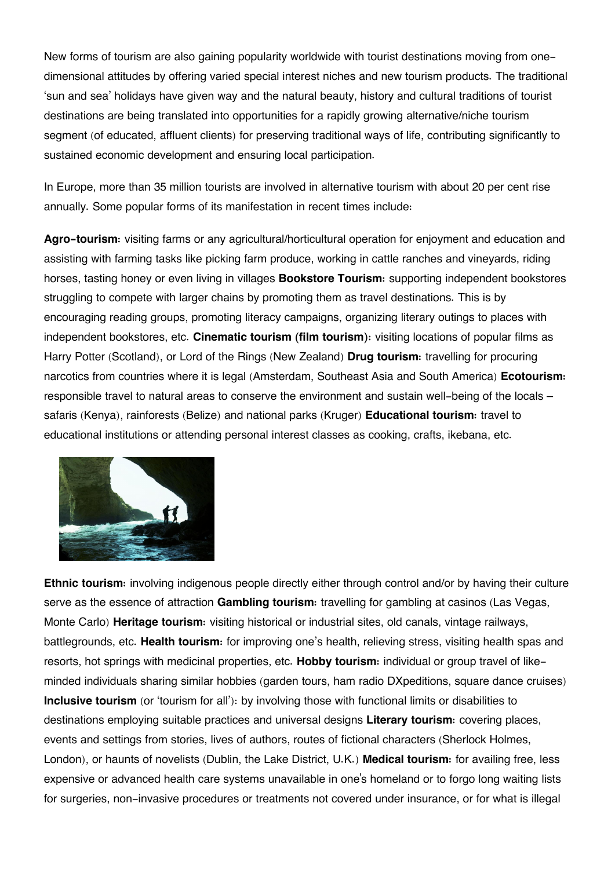New forms of tourism are also gaining popularity worldwide with tourist destinations moving from onedimensional attitudes by offering varied special interest niches and new tourism products. The traditional 'sun and sea' holidays have given way and the natural beauty, history and cultural traditions of tourist destinations are being translated into opportunities for a rapidly growing alternative/niche tourism segment (of educated, affluent clients) for preserving traditional ways of life, contributing significantly to sustained economic development and ensuring local participation.

In Europe, more than 35 million tourists are involved in alternative tourism with about 20 per cent rise annually. Some popular forms of its manifestation in recent times include:

**Agro-tourism:** visiting farms or any agricultural/horticultural operation for enjoyment and education and assisting with farming tasks like picking farm produce, working in cattle ranches and vineyards, riding horses, tasting honey or even living in villages **Bookstore Tourism:** supporting independent bookstores struggling to compete with larger chains by promoting them as travel destinations. This is by encouraging reading groups, promoting literacy campaigns, organizing literary outings to places with independent bookstores, etc. **Cinematic tourism (film tourism):** visiting locations of popular films as Harry Potter (Scotland), or Lord of the Rings (New Zealand) **Drug tourism:** travelling for procuring narcotics from countries where it is legal (Amsterdam, Southeast Asia and South America) **Ecotourism:** responsible travel to natural areas to conserve the environment and sustain well-being of the locals – safaris (Kenya), rainforests (Belize) and national parks (Kruger) **Educational tourism:** travel to educational institutions or attending personal interest classes as cooking, crafts, ikebana, etc.



**Ethnic tourism:** involving indigenous people directly either through control and/or by having their culture serve as the essence of attraction **Gambling tourism:** travelling for gambling at casinos (Las Vegas, Monte Carlo) **Heritage tourism:** visiting historical or industrial sites, old canals, vintage railways, battlegrounds, etc. **Health tourism:** for improving one's health, relieving stress, visiting health spas and resorts, hot springs with medicinal properties, etc. **Hobby tourism:** individual or group travel of likeminded individuals sharing similar hobbies (garden tours, ham radio DXpeditions, square dance cruises) **Inclusive tourism** (or 'tourism for all'): by involving those with functional limits or disabilities to destinations employing suitable practices and universal designs **Literary tourism:** covering places, events and settings from stories, lives of authors, routes of fictional characters (Sherlock Holmes, London), or haunts of novelists (Dublin, the Lake District, U.K.) **Medical tourism:** for availing free, less expensive or advanced health care systems unavailable in one's homeland or to forgo long waiting lists for surgeries, non-invasive procedures or treatments not covered under insurance, or for what is illegal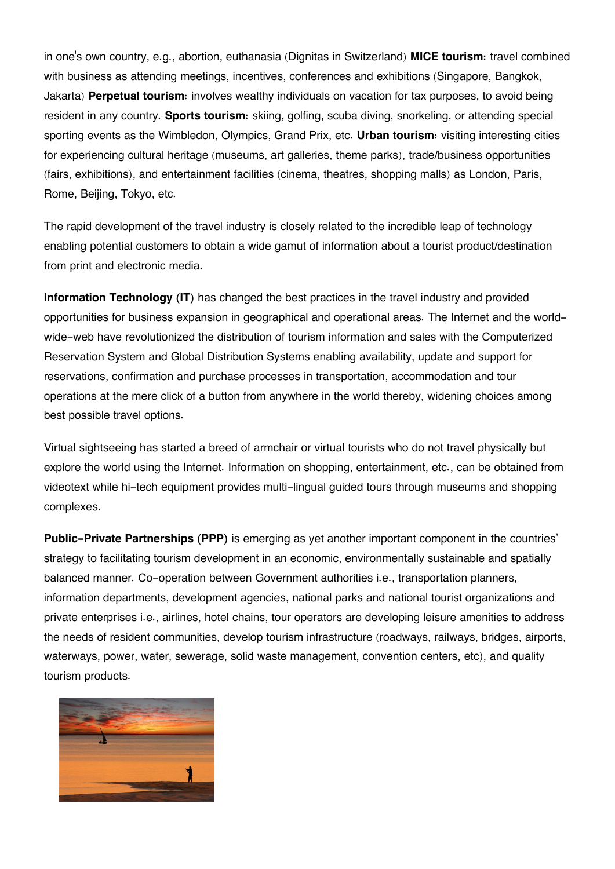in one's own country, e.g., abortion, euthanasia (Dignitas in Switzerland) **MICE tourism:** travel combined with business as attending meetings, incentives, conferences and exhibitions (Singapore, Bangkok, Jakarta) **Perpetual tourism:** involves wealthy individuals on vacation for tax purposes, to avoid being resident in any country. **Sports tourism:** skiing, golfing, scuba diving, snorkeling, or attending special sporting events as the Wimbledon, Olympics, Grand Prix, etc. **Urban tourism:** visiting interesting cities for experiencing cultural heritage (museums, art galleries, theme parks), trade/business opportunities (fairs, exhibitions), and entertainment facilities (cinema, theatres, shopping malls) as London, Paris, Rome, Beijing, Tokyo, etc.

The rapid development of the travel industry is closely related to the incredible leap of technology enabling potential customers to obtain a wide gamut of information about a tourist product/destination from print and electronic media.

**Information Technology (IT)** has changed the best practices in the travel industry and provided opportunities for business expansion in geographical and operational areas. The Internet and the worldwide-web have revolutionized the distribution of tourism information and sales with the Computerized Reservation System and Global Distribution Systems enabling availability, update and support for reservations, confirmation and purchase processes in transportation, accommodation and tour operations at the mere click of a button from anywhere in the world thereby, widening choices among best possible travel options.

Virtual sightseeing has started a breed of armchair or virtual tourists who do not travel physically but explore the world using the Internet. Information on shopping, entertainment, etc., can be obtained from videotext while hi-tech equipment provides multi-lingual guided tours through museums and shopping complexes.

**Public-Private Partnerships (PPP)** is emerging as yet another important component in the countries' strategy to facilitating tourism development in an economic, environmentally sustainable and spatially balanced manner. Co-operation between Government authorities i.e., transportation planners, information departments, development agencies, national parks and national tourist organizations and private enterprises i.e., airlines, hotel chains, tour operators are developing leisure amenities to address the needs of resident communities, develop tourism infrastructure (roadways, railways, bridges, airports, waterways, power, water, sewerage, solid waste management, convention centers, etc), and quality tourism products.

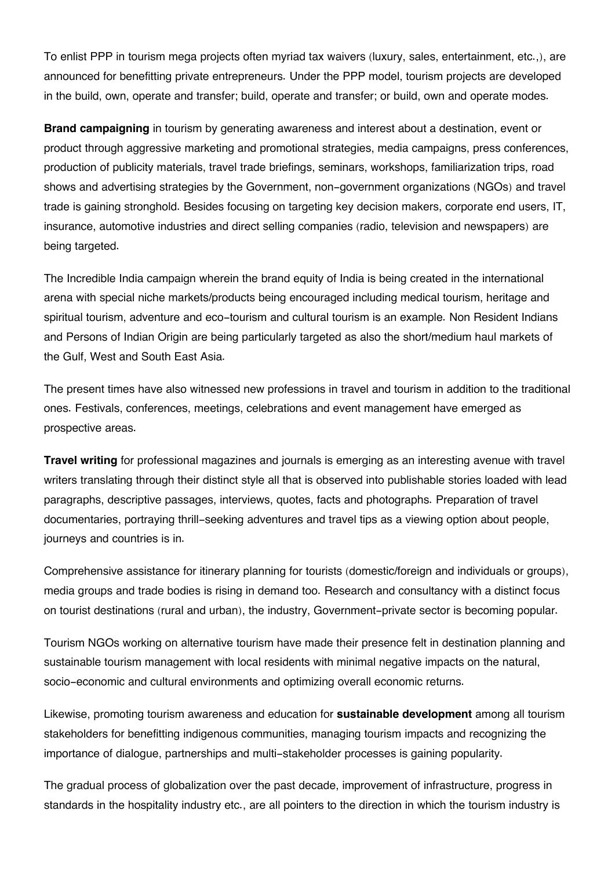To enlist PPP in tourism mega projects often myriad tax waivers (luxury, sales, entertainment, etc.,), are announced for benefitting private entrepreneurs. Under the PPP model, tourism projects are developed in the build, own, operate and transfer; build, operate and transfer; or build, own and operate modes.

**Brand campaigning** in tourism by generating awareness and interest about a destination, event or product through aggressive marketing and promotional strategies, media campaigns, press conferences, production of publicity materials, travel trade briefings, seminars, workshops, familiarization trips, road shows and advertising strategies by the Government, non-government organizations (NGOs) and travel trade is gaining stronghold. Besides focusing on targeting key decision makers, corporate end users, IT, insurance, automotive industries and direct selling companies (radio, television and newspapers) are being targeted.

The Incredible India campaign wherein the brand equity of India is being created in the international arena with special niche markets/products being encouraged including medical tourism, heritage and spiritual tourism, adventure and eco-tourism and cultural tourism is an example. Non Resident Indians and Persons of Indian Origin are being particularly targeted as also the short/medium haul markets of the Gulf, West and South East Asia.

The present times have also witnessed new professions in travel and tourism in addition to the traditional ones. Festivals, conferences, meetings, celebrations and event management have emerged as prospective areas.

**Travel writing** for professional magazines and journals is emerging as an interesting avenue with travel writers translating through their distinct style all that is observed into publishable stories loaded with lead paragraphs, descriptive passages, interviews, quotes, facts and photographs. Preparation of travel documentaries, portraying thrill-seeking adventures and travel tips as a viewing option about people, journeys and countries is in.

Comprehensive assistance for itinerary planning for tourists (domestic/foreign and individuals or groups), media groups and trade bodies is rising in demand too. Research and consultancy with a distinct focus on tourist destinations (rural and urban), the industry, Government-private sector is becoming popular.

Tourism NGOs working on alternative tourism have made their presence felt in destination planning and sustainable tourism management with local residents with minimal negative impacts on the natural, socio-economic and cultural environments and optimizing overall economic returns.

Likewise, promoting tourism awareness and education for **sustainable development** among all tourism stakeholders for benefitting indigenous communities, managing tourism impacts and recognizing the importance of dialogue, partnerships and multi-stakeholder processes is gaining popularity.

The gradual process of globalization over the past decade, improvement of infrastructure, progress in standards in the hospitality industry etc., are all pointers to the direction in which the tourism industry is